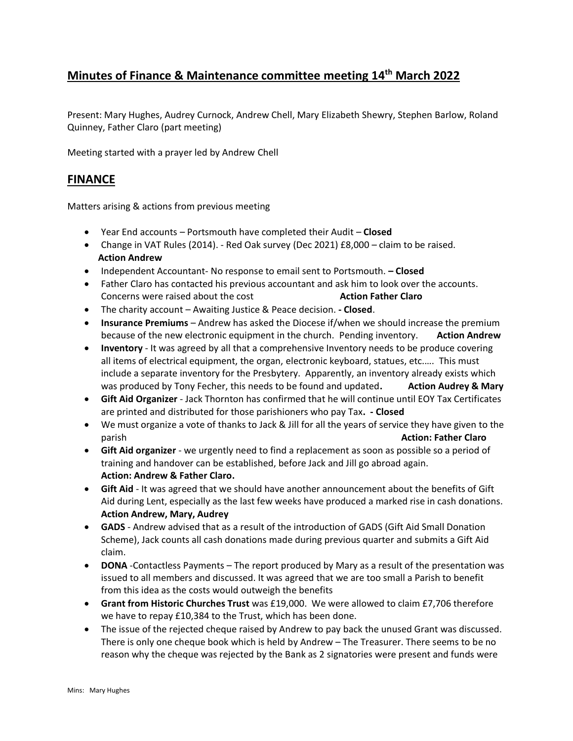## **Minutes of Finance & Maintenance committee meeting 14th March 2022**

Present: Mary Hughes, Audrey Curnock, Andrew Chell, Mary Elizabeth Shewry, Stephen Barlow, Roland Quinney, Father Claro (part meeting)

Meeting started with a prayer led by Andrew Chell

## **FINANCE**

Matters arising & actions from previous meeting

- Year End accounts Portsmouth have completed their Audit **Closed**
- Change in VAT Rules (2014). Red Oak survey (Dec 2021) £8,000 claim to be raised.  **Action Andrew**
- Independent Accountant- No response to email sent to Portsmouth. **– Closed**
- Father Claro has contacted his previous accountant and ask him to look over the accounts. Concerns were raised about the cost **Action Father Claro**
- The charity account Awaiting Justice & Peace decision. **- Closed**.
- **Insurance Premiums** Andrew has asked the Diocese if/when we should increase the premium because of the new electronic equipment in the church. Pending inventory. **Action Andrew**
- **Inventory** It was agreed by all that a comprehensive Inventory needs to be produce covering all items of electrical equipment, the organ, electronic keyboard, statues, etc.…. This must include a separate inventory for the Presbytery. Apparently, an inventory already exists which was produced by Tony Fecher, this needs to be found and updated**. Action Audrey & Mary**
- **Gift Aid Organizer** Jack Thornton has confirmed that he will continue until EOY Tax Certificates are printed and distributed for those parishioners who pay Tax**. - Closed**
- We must organize a vote of thanks to Jack & Jill for all the years of service they have given to the parish **Action: Father Claro**
- **Gift Aid organizer** we urgently need to find a replacement as soon as possible so a period of training and handover can be established, before Jack and Jill go abroad again. **Action: Andrew & Father Claro.**
- **Gift Aid** It was agreed that we should have another announcement about the benefits of Gift Aid during Lent, especially as the last few weeks have produced a marked rise in cash donations. **Action Andrew, Mary, Audrey**
- **GADS** Andrew advised that as a result of the introduction of GADS (Gift Aid Small Donation Scheme), Jack counts all cash donations made during previous quarter and submits a Gift Aid claim.
- **DONA** -Contactless Payments The report produced by Mary as a result of the presentation was issued to all members and discussed. It was agreed that we are too small a Parish to benefit from this idea as the costs would outweigh the benefits
- **Grant from Historic Churches Trust** was £19,000. We were allowed to claim £7,706 therefore we have to repay £10,384 to the Trust, which has been done.
- The issue of the rejected cheque raised by Andrew to pay back the unused Grant was discussed. There is only one cheque book which is held by Andrew – The Treasurer. There seems to be no reason why the cheque was rejected by the Bank as 2 signatories were present and funds were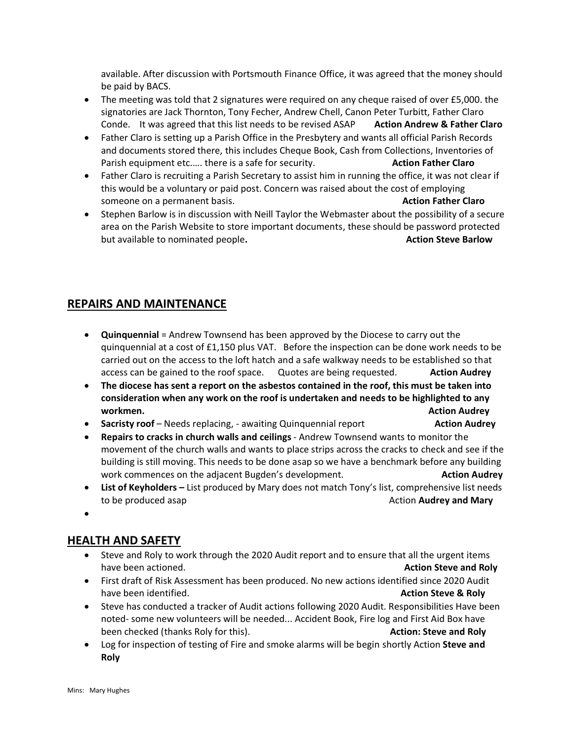available. After discussion with Portsmouth Finance Office, it was agreed that the money should be paid by BACS.

- The meeting was told that 2 signatures were required on any cheque raised of over £5,000. the signatories are Jack Thornton, Tony Fecher, Andrew Chell, Canon Peter Turbitt, Father Claro Conde. It was agreed that this list needs to be revised ASAP **Action Andrew & Father Claro**
- Father Claro is setting up a Parish Office in the Presbytery and wants all official Parish Records and documents stored there, this includes Cheque Book, Cash from Collections, Inventories of Parish equipment etc.…. there is a safe for security. **Action Father Claro**
- Father Claro is recruiting a Parish Secretary to assist him in running the office, it was not clear if this would be a voluntary or paid post. Concern was raised about the cost of employing someone on a permanent basis. **Action Father Claro Action Father Claro**
- Stephen Barlow is in discussion with Neill Taylor the Webmaster about the possibility of a secure area on the Parish Website to store important documents, these should be password protected but available to nominated people. **Action Steve Barlow Action Steve Barlow**

## **REPAIRS AND MAINTENANCE**

- **Quinquennial** = Andrew Townsend has been approved by the Diocese to carry out the quinquennial at a cost of £1,150 plus VAT. Before the inspection can be done work needs to be carried out on the access to the loft hatch and a safe walkway needs to be established so that access can be gained to the roof space. Quotes are being requested. **Action Audrey**
- **The diocese has sent a report on the asbestos contained in the roof, this must be taken into consideration when any work on the roof is undertaken and needs to be highlighted to any workmen. Action Audrey**
- **Sacristy roof** Needs replacing, awaiting Quinquennial report **Action Audrey**
- **Repairs to cracks in church walls and ceilings** Andrew Townsend wants to monitor the movement of the church walls and wants to place strips across the cracks to check and see if the building is still moving. This needs to be done asap so we have a benchmark before any building work commences on the adjacent Bugden's development. **Action Audrey** Action Audrey
- **List of Keyholders –** List produced by Mary does not match Tony's list, comprehensive list needs to be produced asap **Action Audrey** and Mary
- •

## **HEALTH AND SAFETY**

- Steve and Roly to work through the 2020 Audit report and to ensure that all the urgent items have been actioned. **Action Steve and Roly**
- First draft of Risk Assessment has been produced. No new actions identified since 2020 Audit have been identified. **Action Steve & Roly Action Steve & Roly**
- Steve has conducted a tracker of Audit actions following 2020 Audit. Responsibilities Have been noted- some new volunteers will be needed... Accident Book, Fire log and First Aid Box have been checked (thanks Roly for this). **Action: Steve and Roly**
- Log for inspection of testing of Fire and smoke alarms will be begin shortly Action **Steve and Roly**